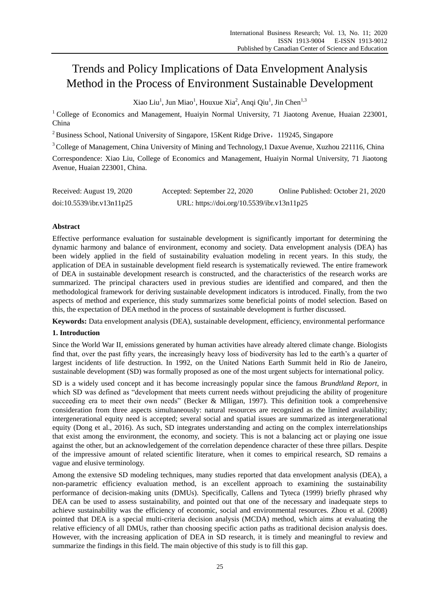# Trends and Policy Implications of Data Envelopment Analysis Method in the Process of Environment Sustainable Development

Xiao Liu<sup>1</sup>, Jun Miao<sup>1</sup>, Houxue Xia<sup>2</sup>, Anqi Qiu<sup>1</sup>, Jin Chen<sup>1,3</sup>

<sup>1</sup> College of Economics and Management, Huaiyin Normal University, 71 Jiaotong Avenue, Huaian 223001, China

<sup>2</sup> Business School, National University of Singapore, 15Kent Ridge Drive, 119245, Singapore

<sup>3</sup> College of Management, China University of Mining and Technology, 1 Daxue Avenue, Xuzhou 221116, China

Correspondence: Xiao Liu, College of Economics and Management, Huaiyin Normal University, 71 Jiaotong Avenue, Huaian 223001, China.

| Received: August 19, 2020 | Accepted: September 22, 2020               | Online Published: October 21, 2020 |
|---------------------------|--------------------------------------------|------------------------------------|
| doi:10.5539/ibr.v13n11p25 | URL: https://doi.org/10.5539/ibr.v13n11p25 |                                    |

# **Abstract**

Effective performance evaluation for sustainable development is significantly important for determining the dynamic harmony and balance of environment, economy and society. Data envelopment analysis (DEA) has been widely applied in the field of sustainability evaluation modeling in recent years. In this study, the application of DEA in sustainable development field research is systematically reviewed. The entire framework of DEA in sustainable development research is constructed, and the characteristics of the research works are summarized. The principal characters used in previous studies are identified and compared, and then the methodological framework for deriving sustainable development indicators is introduced. Finally, from the two aspects of method and experience, this study summarizes some beneficial points of model selection. Based on this, the expectation of DEA method in the process of sustainable development is further discussed.

**Keywords:** Data envelopment analysis (DEA), sustainable development, efficiency, environmental performance

# **1. Introduction**

Since the World War II, emissions generated by human activities have already altered climate change. Biologists find that, over the past fifty years, the increasingly heavy loss of biodiversity has led to the earth's a quarter of largest incidents of life destruction. In 1992, on the United Nations Earth Summit held in Rio de Janeiro, sustainable development (SD) was formally proposed as one of the most urgent subjects for international policy.

SD is a widely used concept and it has become increasingly popular since the famous *Brundtland Report*, in which SD was defined as "development that meets current needs without prejudicing the ability of progeniture succeeding era to meet their own needs" (Becker & Mlligan, 1997). This definition took a comprehensive consideration from three aspects simultaneously: natural resources are recognized as the limited availability; intergenerational equity need is accepted; several social and spatial issues are summarized as intergenerational equity (Dong et al., 2016). As such, SD integrates understanding and acting on the complex interrelationships that exist among the environment, the economy, and society. This is not a balancing act or playing one issue against the other, but an acknowledgement of the correlation dependence character of these three pillars. Despite of the impressive amount of related scientific literature, when it comes to empirical research, SD remains a vague and elusive terminology.

Among the extensive SD modeling techniques, many studies reported that data envelopment analysis (DEA), a non-parametric efficiency evaluation method, is an excellent approach to examining the sustainability performance of decision-making units (DMUs). Specifically, Callens and Tyteca (1999) briefly phrased why DEA can be used to assess sustainability, and pointed out that one of the necessary and inadequate steps to achieve sustainability was the efficiency of economic, social and environmental resources. Zhou et al. (2008) pointed that DEA is a special multi-criteria decision analysis (MCDA) method, which aims at evaluating the relative efficiency of all DMUs, rather than choosing specific action paths as traditional decision analysis does. However, with the increasing application of DEA in SD research, it is timely and meaningful to review and summarize the findings in this field. The main objective of this study is to fill this gap.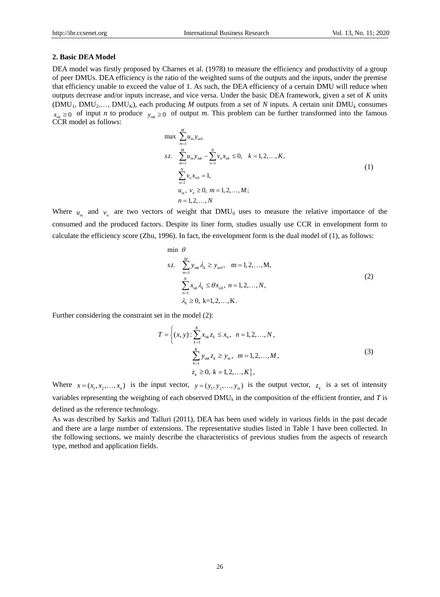#### **2. Basic DEA Model**

DEA model was firstly proposed by Charnes et al. (1978) to measure the efficiency and productivity of a group of peer DMUs. DEA efficiency is the ratio of the weighted sums of the outputs and the inputs, under the premise that efficiency unable to exceed the value of 1. As such, the DEA efficiency of a certain DMU will reduce when outputs decrease and/or inputs increase, and vice versa. Under the basic DEA framework, given a set of *K* units (DMU<sub>1</sub>, DMU<sub>2</sub>,..., DMU<sub>K</sub>), each producing *M* outputs from a set of *N* inputs. A certain unit DMU<sub>k</sub> consumes  $x_{nk} \geq 0$  of input *n* to produce  $y_{mk} \geq 0$  of output *m*. This problem can be further transformed into the famous CCR model as follows:

$$
\max \sum_{m=1}^{M} u_m y_{m0}
$$
\n  
\n
$$
s.t. \sum_{m=1}^{M} u_m y_{mk} - \sum_{n=1}^{N} v_n x_{nk} \le 0, \quad k = 1, 2, ..., K,
$$
\n
$$
\sum_{n=1}^{N} v_n x_{n0} = 1,
$$
\n
$$
u_m, v_n \ge 0, \ m = 1, 2, ..., M;
$$
\n
$$
n = 1, 2, ..., N
$$
\n(1)

Where  $u_m$  and  $v_n$  are two vectors of weight that DMU<sub>0</sub> uses to measure the relative importance of the consumed and the produced factors. Despite its liner form, studies usually use CCR in envelopment form to calculate the efficiency score (Zhu, 1996). In fact, the envelopment form is the dual model of (1), as follows:

$$
\min \theta
$$
\n
$$
s.t. \sum_{m=1}^{M} y_{mk} \lambda_k \ge y_{m0}, \quad m = 1, 2, ..., M,
$$
\n
$$
\sum_{n=1}^{N} x_{nk} \lambda_k \le \theta x_{n0}, \quad n = 1, 2, ..., N,
$$
\n
$$
\lambda_k \ge 0, \quad k = 1, 2, ..., K.
$$
\n(2)

Further considering the constraint set in the model (2):

$$
T = \left\{ (x, y) : \sum_{k=1}^{K} x_{nk} z_k \le x_n, \quad n = 1, 2, ..., N, \right\}
$$
  

$$
\sum_{k=1}^{K} y_{mk} z_k \ge y_m, \quad m = 1, 2, ..., M,
$$
  

$$
z_k \ge 0, \quad k = 1, 2, ..., K \right\},
$$
 (3)

Where  $x = (x_1, x_2, \dots, x_n)$  is the input vector,  $y = (y_1, y_2, \dots, y_m)$  is the output vector,  $z_k$  is a set of intensity variables representing the weighting of each observed DMU<sub>k</sub> in the composition of the efficient frontier, and *T* is defined as the reference technology.

As was described by Sarkis and Talluri (2011), DEA has been used widely in various fields in the past decade and there are a large number of extensions. The representative studies listed in Table 1 have been collected. In the following sections, we mainly describe the characteristics of previous studies from the aspects of research type, method and application fields.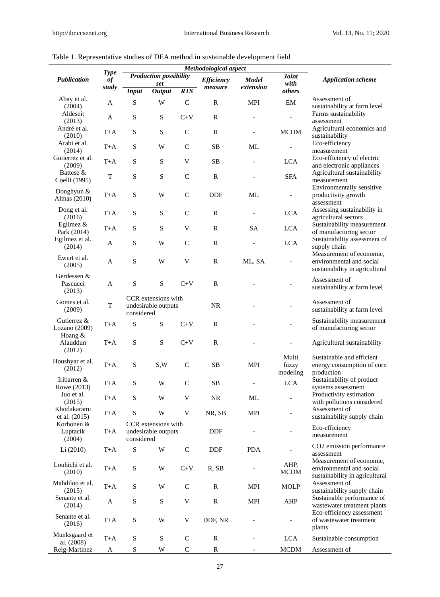|                                   | <b>Type</b> | Methodological aspect |                                            |                           |                   |              |                            |                                                                                        |
|-----------------------------------|-------------|-----------------------|--------------------------------------------|---------------------------|-------------------|--------------|----------------------------|----------------------------------------------------------------------------------------|
| <b>Publication</b>                | $\it of$    |                       | <b>Production possibility</b>              |                           | <b>Efficiency</b> | <b>Model</b> | <b>Joint</b>               | <b>Application scheme</b>                                                              |
|                                   | study       | <b>Input</b>          | set<br><b>Output</b>                       | <b>RTS</b>                | measure           | extension    | with<br>others             |                                                                                        |
| Abay et al.<br>(2004)             | A           | S                     | W                                          | $\mathsf{C}$              | $\mathbb{R}$      | MPI          | EM                         | Assessment of<br>sustainability at farm level                                          |
| Aldeseit<br>(2013)                | A           | S                     | ${\bf S}$                                  | $C+V$                     | $\mathbf R$       |              |                            | Farms sustainability<br>assessment                                                     |
| Andr éet al.<br>(2010)            | T+A         | ${\bf S}$             | ${\bf S}$                                  | $\mathbf C$               | $\mathbb{R}$      |              | <b>MCDM</b>                | Agricultural economics and<br>sustainability                                           |
| Arabi et al.<br>(2014)            | $T+A$       | S                     | W                                          | $\mathbf C$               | <b>SB</b>         | ML           |                            | Eco-efficiency<br>measurement                                                          |
| Gutierrez et al.<br>(2009)        | $T+A$       | ${\bf S}$             | ${\bf S}$                                  | V                         | <b>SB</b>         |              | $_{\rm LCA}$               | Eco-efficiency of electric<br>and electronic appliances                                |
| Battese &<br>Coelli (1995)        | T           | ${\bf S}$             | ${\bf S}$                                  | $\mathsf{C}$              | $\mathbb{R}$      |              | <b>SFA</b>                 | Agricultural sustainability<br>measurement                                             |
| Donghyun &<br>Almas (2010)        | T+A         | ${\bf S}$             | W                                          | $\mathsf{C}$              | <b>DDF</b>        | ML           | $\overline{\phantom{a}}$   | Environmentally sensitive<br>productivity growth<br>assessment                         |
| Dong et al.<br>(2016)             | T+A         | S                     | S                                          | $\mathsf{C}$              | $\mathbf R$       |              | <b>LCA</b>                 | Assessing sustainability in<br>agricultural sectors                                    |
| Egilmez &<br>Park (2014)          | $T+A$       | ${\bf S}$             | S                                          | V                         | R                 | <b>SA</b>    | <b>LCA</b>                 | Sustainability measurement<br>of manufacturing sector                                  |
| Egilmez et al.<br>(2014)          | A           | S                     | W                                          | $\mathbf C$               | $\mathbf R$       |              | <b>LCA</b>                 | Sustainability assessment of<br>supply chain                                           |
| Ewert et al.<br>(2005)            | A           | ${\bf S}$             | W                                          | V                         | $\mathbb{R}$      | ML, SA       |                            | Measurement of economic,<br>environmental and social<br>sustainability in agricultural |
| Gerdessen &<br>Pascucci<br>(2013) | A           | ${\bf S}$             | ${\bf S}$                                  | $C+V$                     | $\mathbf R$       |              |                            | Assessment of<br>sustainability at farm level                                          |
| Gomes et al.<br>(2009)            | T           | considered            | CCR extensions with<br>undesirable outputs |                           | <b>NR</b>         |              |                            | Assessment of<br>sustainability at farm level                                          |
| Gutierrez &<br>Lozano (2009)      | $T+A$       | S                     | ${\bf S}$                                  | $C+V$                     | $\mathbf R$       |              |                            | Sustainability measurement<br>of manufacturing sector                                  |
| Hoang $&$<br>Alauddun<br>(2012)   | $T+A$       | S                     | S                                          | $C+V$                     | $\mathbf R$       |              |                            | Agricultural sustainability                                                            |
| Houshyar et al.<br>(2012)         | $T+A$       | S                     | S,W                                        | $\mathbf C$               | <b>SB</b>         | MPI          | Multi<br>fuzzy<br>modeling | Sustainable and efficient<br>energy consumption of corn<br>production                  |
| Iribarren &<br>Rowe (2013)        | $T+A$       | S                     | W                                          | $\mathsf{C}$              | <b>SB</b>         |              | <b>LCA</b>                 | Sustainability of product<br>systems assessment                                        |
| Juo et al.<br>(2015)              | $T+A$       | ${\bf S}$             | W                                          | V                         | $\rm NR$          | ML           | $\overline{\phantom{a}}$   | Productivity estimation<br>with pollutions considered                                  |
| Khodakarami<br>et al. $(2015)$    | $T+A$       | S                     | W                                          | V                         | NR, SB            | MPI          |                            | Assessment of<br>sustainability supply chain                                           |
| Korhonen &<br>Luptacik<br>(2004)  | $T+A$       | considered            | CCR extensions with<br>undesirable outputs |                           | DDF               |              |                            | Eco-efficiency<br>measurement                                                          |
| Li(2010)                          | $T+A$       | ${\bf S}$             | W                                          | $\mathsf C$               | DDF               | <b>PDA</b>   |                            | CO2 emission performance<br>assessment                                                 |
| Louhichi et al.<br>(2010)         | $T+A$       | ${\bf S}$             | W                                          | $C+V$                     | R, SB             |              | AHP,<br>MCDM               | Measurement of economic,<br>environmental and social<br>sustainability in agricultural |
| Mahdiloo et al.<br>(2015)         | $T+A$       | S                     | W                                          | $\mathsf{C}$              | ${\bf R}$         | MPI          | <b>MOLP</b>                | Assessment of<br>sustainability supply chain                                           |
| Senante et al.<br>(2014)          | A           | ${\bf S}$             | S                                          | $\ensuremath{\mathsf{V}}$ | ${\bf R}$         | MPI          | AHP                        | Sustainable performance of<br>wastewater treatment plants                              |
| Senante et al.<br>(2016)          | $T+A$       | ${\bf S}$             | W                                          | V                         | DDF, NR           |              | $\overline{\phantom{a}}$   | Eco-efficiency assessment<br>of wastewater treatment<br>plants                         |
| Munksgaard et<br>al. (2008)       | $T+A$       | ${\bf S}$             | ${\bf S}$                                  | $\mathsf C$               | ${\bf R}$         |              | <b>LCA</b>                 | Sustainable consumption                                                                |
| Reig-Martinez                     | A           | ${\bf S}$             | W                                          | $\mathsf C$               | ${\mathbb R}$     |              | <b>MCDM</b>                | Assessment of                                                                          |

# Table 1. Representative studies of DEA method in sustainable development field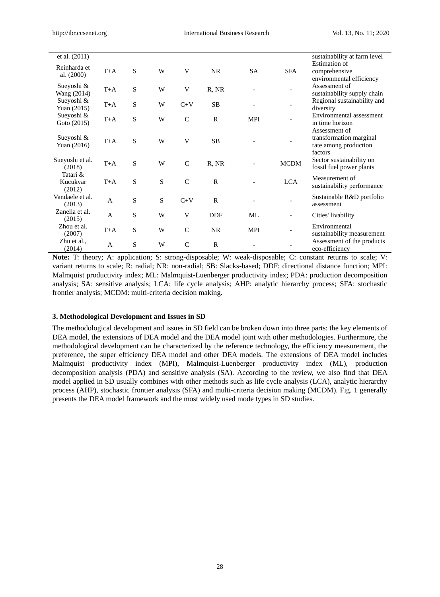| et al. (2011)                  |       |             |           |               |              |            |                          | sustainability at farm level                                                 |
|--------------------------------|-------|-------------|-----------|---------------|--------------|------------|--------------------------|------------------------------------------------------------------------------|
| Reinharda et<br>al. (2000)     | $T+A$ | S           | W         | V             | <b>NR</b>    | <b>SA</b>  | <b>SFA</b>               | <b>Estimation</b> of<br>comprehensive<br>environmental efficiency            |
| Sueyoshi &<br>Wang (2014)      | $T+A$ | S           | W         | V             | R, NR        |            |                          | Assessment of<br>sustainability supply chain                                 |
| Sueyoshi &<br>Yuan (2015)      | $T+A$ | $\mathbf S$ | W         | $C+V$         | <b>SB</b>    |            |                          | Regional sustainability and<br>diversity                                     |
| Sueyoshi &<br>Goto (2015)      | $T+A$ | S           | W         | $\mathsf{C}$  | $\mathbb{R}$ | <b>MPI</b> |                          | Environmental assessment<br>in time horizon                                  |
| Sueyoshi &<br>Yuan (2016)      | $T+A$ | S           | W         | V             | <b>SB</b>    |            |                          | Assessment of<br>transformation marginal<br>rate among production<br>factors |
| Sueyoshi et al.<br>(2018)      | $T+A$ | S           | W         | $\mathsf{C}$  | R, NR        |            | <b>MCDM</b>              | Sector sustainability on<br>fossil fuel power plants                         |
| Tatari &<br>Kucukvar<br>(2012) | $T+A$ | S           | S         | $\mathsf{C}$  | $\mathsf{R}$ |            | <b>LCA</b>               | Measurement of<br>sustainability performance                                 |
| Vandaele et al.<br>(2013)      | A     | S           | ${\bf S}$ | $C+V$         | $\mathbf R$  |            |                          | Sustainable R&D portfolio<br>assessment                                      |
| Zanella et al.<br>(2015)       | A     | S           | W         | V             | <b>DDF</b>   | ML         | $\overline{\phantom{a}}$ | Cities' livability                                                           |
| Zhou et al.<br>(2007)          | $T+A$ | S           | W         | $\mathcal{C}$ | <b>NR</b>    | <b>MPI</b> |                          | Environmental<br>sustainability measurement                                  |
| Zhu et al.,<br>(2014)          | A     | S           | W         | $\mathsf{C}$  | $\mathbb{R}$ |            |                          | Assessment of the products<br>eco-efficiency                                 |

**Note:** T: theory; A: application; S: strong-disposable; W: weak-disposable; C: constant returns to scale; V: variant returns to scale; R: radial; NR: non-radial; SB: Slacks-based; DDF: directional distance function; MPI: Malmquist productivity index; ML: Malmquist-Luenberger productivity index; PDA: production decomposition analysis; SA: sensitive analysis; LCA: life cycle analysis; AHP: analytic hierarchy process; SFA: stochastic frontier analysis; MCDM: multi-criteria decision making.

#### **3. Methodological Development and Issues in SD**

The methodological development and issues in SD field can be broken down into three parts: the key elements of DEA model, the extensions of DEA model and the DEA model joint with other methodologies. Furthermore, the methodological development can be characterized by the reference technology, the efficiency measurement, the preference, the super efficiency DEA model and other DEA models. The extensions of DEA model includes Malmquist productivity index (MPI), Malmquist-Luenberger productivity index (ML), production decomposition analysis (PDA) and sensitive analysis (SA). According to the review, we also find that DEA model applied in SD usually combines with other methods such as life cycle analysis (LCA), analytic hierarchy process (AHP), stochastic frontier analysis (SFA) and multi-criteria decision making (MCDM). Fig. 1 generally presents the DEA model framework and the most widely used mode types in SD studies.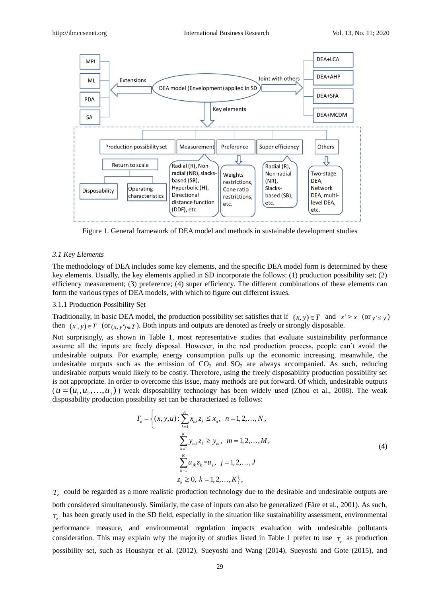

Figure 1. General framework of DEA model and methods in sustainable development studies

#### *3.1 Key Elements*

The methodology of DEA includes some key elements, and the specific DEA model form is determined by these key elements. Usually, the key elements applied in SD incorporate the follows: (1) production possibility set; (2) efficiency measurement; (3) preference; (4) super efficiency. The different combinations of these elements can form the various types of DEA models, with which to figure out different issues.

#### 3.1.1 Production Possibility Set

Traditionally, in basic DEA model, the production possibility set satisfies that if  $(x, y) \in T$  and  $x' \ge x$  (or  $y' \le y$ ) then  $(x', y) \in T$  (or  $(x, y') \in T$ ). Both inputs and outputs are denoted as freely or strongly disposable.

Not surprisingly, as shown in Table 1, most representative studies that evaluate sustainability performance assume all the inputs are freely disposal. However, in the real production process, people can't avoid the undesirable outputs. For example, energy consumption pulls up the economic increasing, meanwhile, the undesirable outputs such as the emission of  $CO<sub>2</sub>$  and  $SO<sub>2</sub>$  are always accompanied. As such, reducing undesirable outputs would likely to be costly. Therefore, using the freely disposability production possibility set is not appropriate. In order to overcome this issue, many methods are put forward. Of which, undesirable outputs  $(u = (u_1, u_2, \ldots, u_j))$  weak disposability technology has been widely used (Zhou et al., 2008). The weak disposability production possibility set can be characterized as follows:

$$
T_e = \left\{ (x, y, u) : \sum_{k=1}^{K} x_{nk} z_k \le x_n, \quad n = 1, 2, ..., N, \right\}
$$
  

$$
\sum_{k=1}^{K} y_{mk} z_k \ge y_m, \quad m = 1, 2, ..., M,
$$
  

$$
\sum_{k=1}^{K} u_{jk} z_k = u_j, \quad j = 1, 2, ..., J
$$
  

$$
z_k \ge 0, \quad k = 1, 2, ..., K \right\},
$$
 (4)

*T e* could be regarded as a more realistic production technology due to the desirable and undesirable outputs are both considered simultaneously. Similarly, the case of inputs can also be generalized (Färe et al., 2001). As such,  $T_e$  has been greatly used in the SD field, especially in the situation like sustainability assessment, environmental performance measure, and environmental regulation impacts evaluation with undesirable pollutants consideration. This may explain why the majority of studies listed in Table 1 prefer to use  $T_e$  as production possibility set, such as Houshyar et al. (2012), Sueyoshi and Wang (2014), Sueyoshi and Gote (2015), and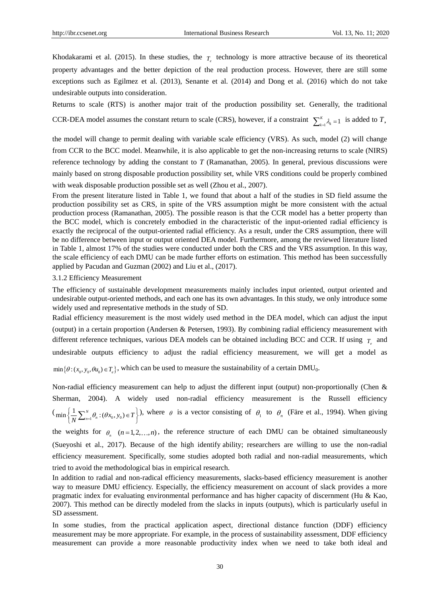Khodakarami et al. (2015). In these studies, the  $T_e$  technology is more attractive because of its theoretical property advantages and the better depiction of the real production process. However, there are still some exceptions such as Egilmez et al. (2013), Senante et al. (2014) and Dong et al. (2016) which do not take undesirable outputs into consideration.

Returns to scale (RTS) is another major trait of the production possibility set. Generally, the traditional CCR-DEA model assumes the constant return to scale (CRS), however, if a constraint  $\sum_{k=1}^{K} \lambda_k = 1$  $\sum_{k=1}^{K} \lambda_k = 1$  is added to *T*,

the model will change to permit dealing with variable scale efficiency (VRS). As such, model (2) will change from CCR to the BCC model. Meanwhile, it is also applicable to get the non-increasing returns to scale (NIRS) reference technology by adding the constant to *T* (Ramanathan, 2005). In general, previous discussions were mainly based on strong disposable production possibility set, while VRS conditions could be properly combined with weak disposable production possible set as well (Zhou et al., 2007).

From the present literature listed in Table 1, we found that about a half of the studies in SD field assume the production possibility set as CRS, in spite of the VRS assumption might be more consistent with the actual production process (Ramanathan, 2005). The possible reason is that the CCR model has a better property than the BCC model, which is concretely embodied in the characteristic of the input-oriented radial efficiency is exactly the reciprocal of the output-oriented radial efficiency. As a result, under the CRS assumption, there will be no difference between input or output oriented DEA model. Furthermore, among the reviewed literature listed in Table 1, almost 17% of the studies were conducted under both the CRS and the VRS assumption. In this way, the scale efficiency of each DMU can be made further efforts on estimation. This method has been successfully applied by Pacudan and Guzman (2002) and Liu et al., (2017).

#### 3.1.2 Efficiency Measurement

The efficiency of sustainable development measurements mainly includes input oriented, output oriented and undesirable output-oriented methods, and each one has its own advantages. In this study, we only introduce some widely used and representative methods in the study of SD.

Radial efficiency measurement is the most widely used method in the DEA model, which can adjust the input (output) in a certain proportion (Andersen & Petersen, 1993). By combining radial efficiency measurement with different reference techniques, various DEA models can be obtained including BCC and CCR. If using  $T_e$  and undesirable outputs efficiency to adjust the radial efficiency measurement, we will get a model as  $\min{\{\theta : (x_0, y_0, \theta u_0) \in T_e\}}$ , which can be used to measure the sustainability of a certain DMU<sub>0</sub>.

Non-radial efficiency measurement can help to adjust the different input (output) non-proportionally (Chen & Sherman, 2004). A widely used non-radial efficiency measurement is the Russell efficiency  $(\min\left\{\frac{1}{N}\sum_{n=1}^{N}\theta_n:(\theta x_0,y_0)\in T\right\})$ , where  $\theta$  is a vector consisting of  $\theta_1$  to  $\theta_n$  (Five et al., 1994). When giving

the weights for  $\theta_n$  ( $n=1,2,...,n$ ), the reference structure of each DMU can be obtained simultaneously (Sueyoshi et al., 2017). Because of the high identify ability; researchers are willing to use the non-radial efficiency measurement. Specifically, some studies adopted both radial and non-radial measurements, which tried to avoid the methodological bias in empirical research.

In addition to radial and non-radical efficiency measurements, slacks-based efficiency measurement is another way to measure DMU efficiency. Especially, the efficiency measurement on account of slack provides a more pragmatic index for evaluating environmental performance and has higher capacity of discernment (Hu & Kao, 2007). This method can be directly modeled from the slacks in inputs (outputs), which is particularly useful in SD assessment.

In some studies, from the practical application aspect, directional distance function (DDF) efficiency measurement may be more appropriate. For example, in the process of sustainability assessment, DDF efficiency measurement can provide a more reasonable productivity index when we need to take both ideal and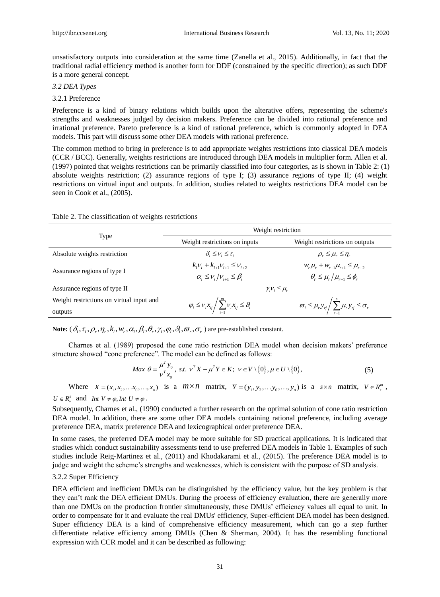unsatisfactory outputs into consideration at the same time (Zanella et al., 2015). Additionally, in fact that the traditional radial efficiency method is another form for DDF (constrained by the specific direction); as such DDF is a more general concept.

#### *3.2 DEA Types*

3.2.1 Preference

Preference is a kind of binary relations which builds upon the alterative offers, representing the scheme's strengths and weaknesses judged by decision makers. Preference can be divided into rational preference and irrational preference. Pareto preference is a kind of rational preference, which is commonly adopted in DEA models. This part will discuss some other DEA models with rational preference.

The common method to bring in preference is to add appropriate weights restrictions into classical DEA models (CCR / BCC). Generally, weights restrictions are introduced through DEA models in multiplier form. Allen et al. (1997) pointed that weights restrictions can be primarily classified into four categories, as is shown in Table 2: (1) absolute weights restriction; (2) assurance regions of type I; (3) assurance regions of type II; (4) weight restrictions on virtual input and outputs. In addition, studies related to weights restrictions DEA model can be seen in Cook et al., (2005).

|  | Table 2. The classification of weights restrictions |  |
|--|-----------------------------------------------------|--|
|  |                                                     |  |

|                                          | Weight restriction                                                     |                                                                                   |  |  |  |
|------------------------------------------|------------------------------------------------------------------------|-----------------------------------------------------------------------------------|--|--|--|
| Type                                     | Weight restrictions on inputs                                          | Weight restrictions on outputs                                                    |  |  |  |
| Absolute weights restriction             | $\delta_i \leq v_i \leq \tau_i$                                        | $\rho_{\rm r} \leq \mu_{\rm r} \leq \eta_{\rm r}$                                 |  |  |  |
|                                          | $k_iV_i + k_{i+1}V_{i+1} \leq V_{i+2}$                                 | $W_r \mu_r + W_{r+1} \mu_{r+1} \leq \mu_{r+2}$                                    |  |  |  |
| Assurance regions of type I              | $\alpha_i \leq v_i/v_{i+1} \leq \beta_i$                               | $\theta \leq \mu$ , $\mu$ , $\leq \phi$                                           |  |  |  |
| Assurance regions of type II             | $\gamma_i \nu_i \leq \mu_r$                                            |                                                                                   |  |  |  |
| Weight restrictions on virtual input and | $\varphi_i \leq v_i x_{ij} / \sum_{i=1}^m v_i x_{ij} \leq \vartheta_i$ | $\overline{\omega}_i \leq \mu_r y_{rj} / \sum_{i=1}^s \mu_r y_{rj} \leq \sigma_r$ |  |  |  |
| outputs                                  |                                                                        |                                                                                   |  |  |  |

**Note:**  $(\delta_i, \tau_i, \rho_r, \eta_r, k_i, w_r, \alpha_i, \beta_i, \theta_r, \gamma_i, \phi_i, \vartheta_r, \sigma_r)$  are pre-established constant.

Charnes et al. (1989) proposed the cone ratio restriction DEA model when decision makers' preference

structure showed "cone preference". The model can be defined as follows:  
\n
$$
Max \theta = \frac{\mu^T y_0}{v^T x_0}, \ s.t. \ v^T X - \mu^T Y \in K; \ v \in V \setminus \{0\}, \mu \in U \setminus \{0\},
$$
\n(5)

Where  $X = (x_1, x_2, ..., x_n, ..., x_n)$  is a  $m \times n$  matrix,  $Y = (y_1, y_2, ..., y_n, ..., y_n)$  is a  $s \times n$  matrix,  $V \in R_+^m$ ,  $U \in R_+^s$  and *Int V*  $\neq \varphi$ , *Int U*  $\neq \varphi$ .

Subsequently, Charnes et al., (1990) conducted a further research on the optimal solution of cone ratio restriction DEA model. In addition, there are some other DEA models containing rational preference, including average preference DEA, matrix preference DEA and lexicographical order preference DEA.

In some cases, the preferred DEA model may be more suitable for SD practical applications. It is indicated that studies which conduct sustainability assessments tend to use preferred DEA models in Table 1. Examples of such studies include Reig-Martinez et al., (2011) and Khodakarami et al., (2015). The preference DEA model is to judge and weight the scheme's strengths and weaknesses, which is consistent with the purpose of SD analysis.

#### 3.2.2 Super Efficiency

DEA efficient and inefficient DMUs can be distinguished by the efficiency value, but the key problem is that they can't rank the DEA efficient DMUs. During the process of efficiency evaluation, there are generally more than one DMUs on the production frontier simultaneously, these DMUs' efficiency values all equal to unit. In order to compensate for it and evaluate the real DMUs' efficiency, Super-efficient DEA model has been designed. Super efficiency DEA is a kind of comprehensive efficiency measurement, which can go a step further differentiate relative efficiency among DMUs (Chen & Sherman, 2004). It has the resembling functional expression with CCR model and it can be described as following: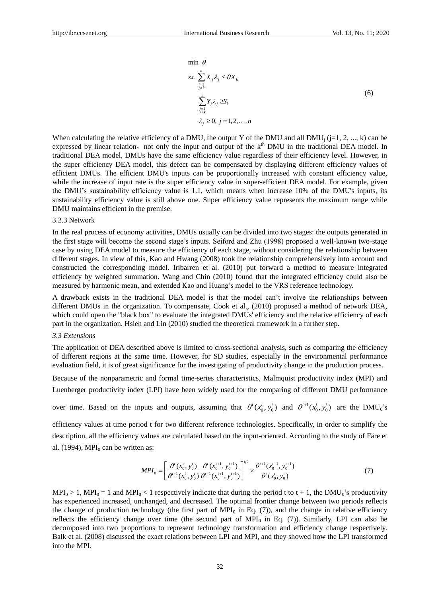$$
\min \theta
$$
\n
$$
s.t. \sum_{j=1 \atop j \neq k}^{n} X_j \lambda_j \leq \theta X_k
$$
\n
$$
\sum_{j=1 \atop j \neq k}^{n} Y_j \lambda_j \geq Y_k
$$
\n
$$
\lambda_j \geq 0, j = 1, 2, ..., n
$$
\n(6)

 $\sum_{i=1}^{n} Y_{i} \lambda_{i} \geq \sum_{j=1}^{n} Y_{j} \lambda_{j} \geq \sum_{j=1}^{n} Y_{j} \lambda_{j} \geq 0$ ,  $j$ <br>  $j \geq 0$ ,  $j$ <br>  $j \geq 0$ ,  $j$ <br>  $k$ , the ou and our correct of the precise of the precise of the precise which Super sually (<br>  $\sum_{i=1}^{n} \sum_{j=1}^{$ When calculating the relative efficiency of a DMU, the output Y of the DMU and all DMU<sub>i</sub> ( $j=1, 2, ..., k$ ) can be expressed by linear relation, not only the input and output of the  $k<sup>th</sup>$  DMU in the traditional DEA model. In traditional DEA model, DMUs have the same efficiency value regardless of their efficiency level. However, in the super efficiency DEA model, this defect can be compensated by displaying different efficiency values of efficient DMUs. The efficient DMU's inputs can be proportionally increased with constant efficiency value, while the increase of input rate is the super efficiency value in super-efficient DEA model. For example, given the DMU's sustainability efficiency value is 1.1, which means when increase 10% of the DMU's inputs, its sustainability efficiency value is still above one. Super efficiency value represents the maximum range while DMU maintains efficient in the premise.

#### 3.2.3 Network

In the real process of economy activities, DMUs usually can be divided into two stages: the outputs generated in the first stage will become the second stage's inputs. Seiford and Zhu (1998) proposed a well-known two-stage case by using DEA model to measure the efficiency of each stage, without considering the relationship between different stages. In view of this, Kao and Hwang (2008) took the relationship comprehensively into account and constructed the corresponding model. Iribarren et al. (2010) put forward a method to measure integrated efficiency by weighted summation. Wang and Chin (2010) found that the integrated efficiency could also be measured by harmonic mean, and extended Kao and Huang's model to the VRS reference technology.

A drawback exists in the traditional DEA model is that the model can't involve the relationships between different DMUs in the organization. To compensate, Cook et al., (2010) proposed a method of network DEA, which could open the "black box" to evaluate the integrated DMUs' efficiency and the relative efficiency of each part in the organization. Hsieh and Lin (2010) studied the theoretical framework in a further step.

#### *3.3 Extensions*

The application of DEA described above is limited to cross-sectional analysis, such as comparing the efficiency of different regions at the same time. However, for SD studies, especially in the environmental performance evaluation field, it is of great significance for the investigating of productivity change in the production process.

Because of the nonparametric and formal time-series characteristics, Malmquist productivity index (MPI) and Luenberger productivity index (LPI) have been widely used for the comparing of different DMU performance

over time. Based on the inputs and outputs, assuming that  $\theta^t(x_0^t, y_0^t)$  and  $\theta^{t+1}(x_0^t, y_0^t)$  are the DMU<sub>0</sub>'s

efficiency values at time period t for two different reference technologies. Specifically, in order to simplify the description, all the efficiency values are calculated based on the input-oriented. According to the study of Färe et al. (1994), MPI $<sub>0</sub>$  can be written as:</sub>

$$
MPI_0 = \left[ \frac{\theta^t(x_0^t, y_0^t)}{\theta^{t+1}(x_0^t, y_0^t)} \frac{\theta^t(x_0^{t+1}, y_0^{t+1})}{\theta^{t+1}(x_0^{t+1}, y_0^{t+1})} \right]^{1/2} \times \frac{\theta^{t+1}(x_0^{t+1}, y_0^{t+1})}{\theta^t(x_0^t, y_0^t)}
$$
(7)

 $MPI_0 > 1$ ,  $MPI_0 = 1$  and  $MPI_0 < 1$  respectively indicate that during the period t to t + 1, the DMU<sub>0</sub>'s productivity has experienced increased, unchanged, and decreased. The optimal frontier change between two periods reflects the change of production technology (the first part of MPI $_0$  in Eq. (7)), and the change in relative efficiency reflects the efficiency change over time (the second part of  $MPI<sub>0</sub>$  in Eq. (7)). Similarly, LPI can also be decomposed into two proportions to represent technology transformation and efficiency change respectively. Balk et al. (2008) discussed the exact relations between LPI and MPI, and they showed how the LPI transformed into the MPI.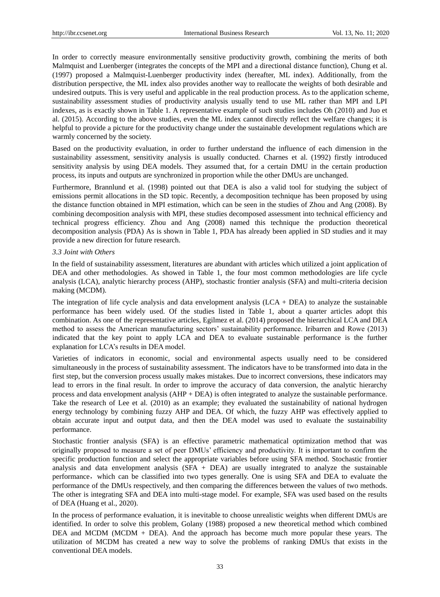In order to correctly measure environmentally sensitive productivity growth, combining the merits of both Malmquist and Luenberger (integrates the concepts of the MPI and a directional distance function), Chung et al. (1997) proposed a Malmquist-Luenberger productivity index (hereafter, ML index). Additionally, from the distribution perspective, the ML index also provides another way to reallocate the weights of both desirable and undesired outputs. This is very useful and applicable in the real production process. As to the application scheme, sustainability assessment studies of productivity analysis usually tend to use ML rather than MPI and LPI indexes, as is exactly shown in Table 1. A representative example of such studies includes Oh (2010) and Juo et al. (2015). According to the above studies, even the ML index cannot directly reflect the welfare changes; it is helpful to provide a picture for the productivity change under the sustainable development regulations which are warmly concerned by the society.

Based on the productivity evaluation, in order to further understand the influence of each dimension in the sustainability assessment, sensitivity analysis is usually conducted. Charnes et al. (1992) firstly introduced sensitivity analysis by using DEA models. They assumed that, for a certain DMU in the certain production process, its inputs and outputs are synchronized in proportion while the other DMUs are unchanged.

Furthermore, Brannlund et al. (1998) pointed out that DEA is also a valid tool for studying the subject of emissions permit allocations in the SD topic. Recently, a decomposition technique has been proposed by using the distance function obtained in MPI estimation, which can be seen in the studies of Zhou and Ang (2008). By combining decomposition analysis with MPI, these studies decomposed assessment into technical efficiency and technical progress efficiency. Zhou and Ang (2008) named this technique the production theoretical decomposition analysis (PDA) As is shown in Table 1, PDA has already been applied in SD studies and it may provide a new direction for future research.

#### *3.3 Joint with Others*

In the field of sustainability assessment, literatures are abundant with articles which utilized a joint application of DEA and other methodologies. As showed in Table 1, the four most common methodologies are life cycle analysis (LCA), analytic hierarchy process (AHP), stochastic frontier analysis (SFA) and multi-criteria decision making (MCDM).

The integration of life cycle analysis and data envelopment analysis  $(LCA + DEA)$  to analyze the sustainable performance has been widely used. Of the studies listed in Table 1, about a quarter articles adopt this combination. As one of the representative articles, Egilmez et al. (2014) proposed the hierarchical LCA and DEA method to assess the American manufacturing sectors' sustainability performance. Iribarren and Rowe (2013) indicated that the key point to apply LCA and DEA to evaluate sustainable performance is the further explanation for LCA's results in DEA model.

Varieties of indicators in economic, social and environmental aspects usually need to be considered simultaneously in the process of sustainability assessment. The indicators have to be transformed into data in the first step, but the conversion process usually makes mistakes. Due to incorrect conversions, these indicators may lead to errors in the final result. In order to improve the accuracy of data conversion, the analytic hierarchy process and data envelopment analysis (AHP + DEA) is often integrated to analyze the sustainable performance. Take the research of Lee et al. (2010) as an example; they evaluated the sustainability of national hydrogen energy technology by combining fuzzy AHP and DEA. Of which, the fuzzy AHP was effectively applied to obtain accurate input and output data, and then the DEA model was used to evaluate the sustainability performance.

Stochastic frontier analysis (SFA) is an effective parametric mathematical optimization method that was originally proposed to measure a set of peer DMUs' efficiency and productivity. It is important to confirm the specific production function and select the appropriate variables before using SFA method. Stochastic frontier analysis and data envelopment analysis  $(SFA + DEA)$  are usually integrated to analyze the sustainable performance,which can be classified into two types generally. One is using SFA and DEA to evaluate the performance of the DMUs respectively, and then comparing the differences between the values of two methods. The other is integrating SFA and DEA into multi-stage model. For example, SFA was used based on the results of DEA (Huang et al., 2020).

In the process of performance evaluation, it is inevitable to choose unrealistic weights when different DMUs are identified. In order to solve this problem, Golany (1988) proposed a new theoretical method which combined DEA and MCDM (MCDM + DEA). And the approach has become much more popular these years. The utilization of MCDM has created a new way to solve the problems of ranking DMUs that exists in the conventional DEA models.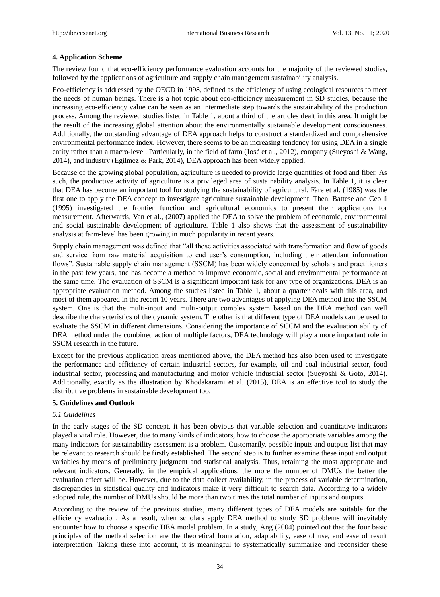#### **4. Application Scheme**

The review found that eco-efficiency performance evaluation accounts for the majority of the reviewed studies, followed by the applications of agriculture and supply chain management sustainability analysis.

Eco-efficiency is addressed by the OECD in 1998, defined as the efficiency of using ecological resources to meet the needs of human beings. There is a hot topic about eco-efficiency measurement in SD studies, because the increasing eco-efficiency value can be seen as an intermediate step towards the sustainability of the production process. Among the reviewed studies listed in Table 1, about a third of the articles dealt in this area. It might be the result of the increasing global attention about the environmentally sustainable development consciousness. Additionally, the outstanding advantage of DEA approach helps to construct a standardized and comprehensive environmental performance index. However, there seems to be an increasing tendency for using DEA in a single entity rather than a macro-level. Particularly, in the field of farm (Joséet al., 2012), company (Sueyoshi & Wang, 2014), and industry (Egilmez & Park, 2014), DEA approach has been widely applied.

Because of the growing global population, agriculture is needed to provide large quantities of food and fiber. As such, the productive activity of agriculture is a privileged area of sustainability analysis. In Table 1, it is clear that DEA has become an important tool for studying the sustainability of agricultural. Färe et al. (1985) was the first one to apply the DEA concept to investigate agriculture sustainable development. Then, Battese and Ceolli (1995) investigated the frontier function and agricultural economics to present their applications for measurement. Afterwards, Van et al., (2007) applied the DEA to solve the problem of economic, environmental and social sustainable development of agriculture. Table 1 also shows that the assessment of sustainability analysis at farm-level has been growing in much popularity in recent years.

Supply chain management was defined that "all those activities associated with transformation and flow of goods and service from raw material acquisition to end user's consumption, including their attendant information flows". Sustainable supply chain management (SSCM) has been widely concerned by scholars and practitioners in the past few years, and has become a method to improve economic, social and environmental performance at the same time. The evaluation of SSCM is a significant important task for any type of organizations. DEA is an appropriate evaluation method. Among the studies listed in Table 1, about a quarter deals with this area, and most of them appeared in the recent 10 years. There are two advantages of applying DEA method into the SSCM system. One is that the multi-input and multi-output complex system based on the DEA method can well describe the characteristics of the dynamic system. The other is that different type of DEA models can be used to evaluate the SSCM in different dimensions. Considering the importance of SCCM and the evaluation ability of DEA method under the combined action of multiple factors, DEA technology will play a more important role in SSCM research in the future.

Except for the previous application areas mentioned above, the DEA method has also been used to investigate the performance and efficiency of certain industrial sectors, for example, oil and coal industrial sector, food industrial sector, processing and manufacturing and motor vehicle industrial sector (Sueyoshi & Goto, 2014). Additionally, exactly as the illustration by Khodakarami et al. (2015), DEA is an effective tool to study the distributive problems in sustainable development too.

#### **5. Guidelines and Outlook**

# *5.1 Guidelines*

In the early stages of the SD concept, it has been obvious that variable selection and quantitative indicators played a vital role. However, due to many kinds of indicators, how to choose the appropriate variables among the many indicators for sustainability assessment is a problem. Customarily, possible inputs and outputs list that may be relevant to research should be firstly established. The second step is to further examine these input and output variables by means of preliminary judgment and statistical analysis. Thus, retaining the most appropriate and relevant indicators. Generally, in the empirical applications, the more the number of DMUs the better the evaluation effect will be. However, due to the data collect availability, in the process of variable determination, discrepancies in statistical quality and indicators make it very difficult to search data. According to a widely adopted rule, the number of DMUs should be more than two times the total number of inputs and outputs.

According to the review of the previous studies, many different types of DEA models are suitable for the efficiency evaluation. As a result, when scholars apply DEA method to study SD problems will inevitably encounter how to choose a specific DEA model problem. In a study, Ang (2004) pointed out that the four basic principles of the method selection are the theoretical foundation, adaptability, ease of use, and ease of result interpretation. Taking these into account, it is meaningful to systematically summarize and reconsider these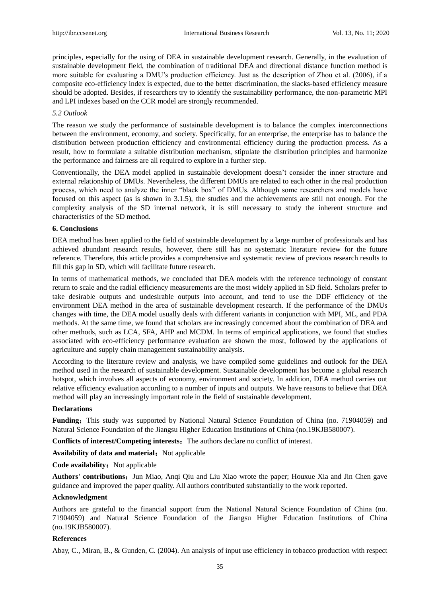principles, especially for the using of DEA in sustainable development research. Generally, in the evaluation of sustainable development field, the combination of traditional DEA and directional distance function method is more suitable for evaluating a DMU's production efficiency. Just as the description of Zhou et al. (2006), if a composite eco-efficiency index is expected, due to the better discrimination, the slacks-based efficiency measure should be adopted. Besides, if researchers try to identify the sustainability performance, the non-parametric MPI and LPI indexes based on the CCR model are strongly recommended.

#### *5.2 Outlook*

The reason we study the performance of sustainable development is to balance the complex interconnections between the environment, economy, and society. Specifically, for an enterprise, the enterprise has to balance the distribution between production efficiency and environmental efficiency during the production process. As a result, how to formulate a suitable distribution mechanism, stipulate the distribution principles and harmonize the performance and fairness are all required to explore in a further step.

Conventionally, the DEA model applied in sustainable development doesn't consider the inner structure and external relationship of DMUs. Nevertheless, the different DMUs are related to each other in the real production process, which need to analyze the inner "black box" of DMUs. Although some researchers and models have focused on this aspect (as is shown in 3.1.5), the studies and the achievements are still not enough. For the complexity analysis of the SD internal network, it is still necessary to study the inherent structure and characteristics of the SD method.

#### **6. Conclusions**

DEA method has been applied to the field of sustainable development by a large number of professionals and has achieved abundant research results, however, there still has no systematic literature review for the future reference. Therefore, this article provides a comprehensive and systematic review of previous research results to fill this gap in SD, which will facilitate future research.

In terms of mathematical methods, we concluded that DEA models with the reference technology of constant return to scale and the radial efficiency measurements are the most widely applied in SD field. Scholars prefer to take desirable outputs and undesirable outputs into account, and tend to use the DDF efficiency of the environment DEA method in the area of sustainable development research. If the performance of the DMUs changes with time, the DEA model usually deals with different variants in conjunction with MPI, ML, and PDA methods. At the same time, we found that scholars are increasingly concerned about the combination of DEA and other methods, such as LCA, SFA, AHP and MCDM. In terms of empirical applications, we found that studies associated with eco-efficiency performance evaluation are shown the most, followed by the applications of agriculture and supply chain management sustainability analysis.

According to the literature review and analysis, we have compiled some guidelines and outlook for the DEA method used in the research of sustainable development. Sustainable development has become a global research hotspot, which involves all aspects of economy, environment and society. In addition, DEA method carries out relative efficiency evaluation according to a number of inputs and outputs. We have reasons to believe that DEA method will play an increasingly important role in the field of sustainable development.

#### **Declarations**

**Funding:** This study was supported by National Natural Science Foundation of China (no. 71904059) and Natural Science Foundation of the Jiangsu Higher Education Institutions of China (no.19KJB580007).

**Conflicts of interest/Competing interests:** The authors declare no conflict of interest.

Availability of data and material: Not applicable

**Code availability:** Not applicable

Authors' contributions: Jun Miao, Anqi Qiu and Liu Xiao wrote the paper; Houxue Xia and Jin Chen gave guidance and improved the paper quality. All authors contributed substantially to the work reported.

# **Acknowledgment**

Authors are grateful to the financial support from the National Natural Science Foundation of China (no. 71904059) and Natural Science Foundation of the Jiangsu Higher Education Institutions of China (no.19KJB580007).

#### **References**

Abay, C., Miran, B., & Gunden, C. (2004). An analysis of input use efficiency in tobacco production with respect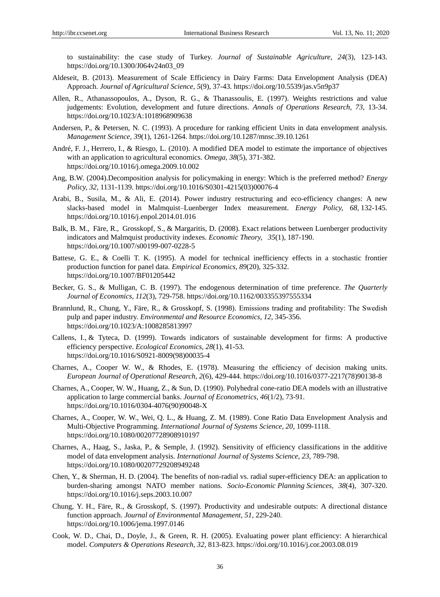to sustainability: the case study of Turkey. *Journal of Sustainable Agriculture, 24*(3), 123-143. https://doi.org/10.1300/J064v24n03\_09

- Aldeseit, B. (2013). Measurement of Scale Efficiency in Dairy Farms: Data Envelopment Analysis (DEA) Approach. *Journal of Agricultural Science, 5*(9), 37-43. https://doi.org/10.5539/jas.v5n9p37
- Allen, R., Athanassopoulos, A., Dyson, R. G., & Thanassoulis, E. (1997). Weights restrictions and value judgements: Evolution, development and future directions. *Annals of Operations Research, 73,* 13-34. https://doi.org/10.1023/A:1018968909638
- Andersen, P., & Petersen, N. C. (1993). A procedure for ranking efficient Units in data envelopment analysis. *Management Science, 39*(1), 1261-1264. https://doi.org/10.1287/mnsc.39.10.1261
- André, F. J., Herrero, I., & Riesgo, L. (2010). A modified DEA model to estimate the importance of objectives with an application to agricultural economics. *Omega, 38*(5), 371-382. https://doi.org/10.1016/j.omega.2009.10.002
- Ang, B.W. (2004).Decomposition analysis for policymaking in energy: Which is the preferred method? *Energy Policy, 32,* 1131-1139. https://doi.org/10.1016/S0301-4215(03)00076-4
- Arabi, B., Susila, M., & Ali, E. (2014). Power industry restructuring and eco-efficiency changes: A new slacks-based model in Malmquist–Luenberger Index measurement. *Energy Policy, 68,* 132-145. https://doi.org/10.1016/j.enpol.2014.01.016
- Balk, B. M., Färe, R., Grosskopf, S., & Margaritis, D. (2008). Exact relations between Luenberger productivity indicators and Malmquist productivity indexes. *Economic Theory, 35*(1), 187-190. https://doi.org/10.1007/s00199-007-0228-5
- Battese, G. E., & Coelli T. K. (1995). A model for technical inefficiency effects in a stochastic frontier production function for panel data. *Empirical Economics, 89*(20), 325-332. https://doi.org/10.1007/BF01205442
- Becker, G. S., & Mulligan, C. B. (1997). The endogenous determination of time preference. *The Quarterly Journal of Economics, 112*(3), 729-758. https://doi.org/10.1162/003355397555334
- Brannlund, R., Chung, Y., Färe, R., & Grosskopf, S. (1998). Emissions trading and profitability: The Swedish pulp and paper industry. *Environmental and Resource Economics, 12,* 345-356. https://doi.org/10.1023/A:1008285813997
- Callens, I., & Tyteca, D. (1999). Towards indicators of sustainable development for firms: A productive efficiency perspective. *Ecological Economics, 28*(1), 41-53. https://doi.org/10.1016/S0921-8009(98)00035-4
- Charnes, A., Cooper W. W., & Rhodes, E. (1978). Measuring the efficiency of decision making units. *European Journal of Operational Research, 2*(6), 429-444. https://doi.org/10.1016/0377-2217(78)90138-8
- Charnes, A., Cooper, W. W., Huang, Z., & Sun, D. (1990). Polyhedral cone-ratio DEA models with an illustrative application to large commercial banks. *Journal of Econometrics, 46*(1/2), 73-91. https://doi.org/10.1016/0304-4076(90)90048-X
- Charnes, A., Cooper, W. W., Wei, Q. L., & Huang, Z. M. (1989). Cone Ratio Data Envelopment Analysis and Multi-Objective Programming. *International Journal of Systems Science, 20,* 1099-1118. https://doi.org/10.1080/00207728908910197
- Charnes, A., Haag, S., Jaska, P., & Semple, J. (1992). Sensitivity of efficiency classifications in the additive model of data envelopment analysis. *International Journal of Systems Science, 23,* 789-798. https://doi.org/10.1080/00207729208949248
- Chen, Y., & Sherman, H. D. (2004). The benefits of non-radial vs. radial super-efficiency DEA: an application to burden-sharing amongst NATO member nations. *Socio-Economic Planning Sciences, 38*(4), 307-320. https://doi.org/10.1016/j.seps.2003.10.007
- Chung, Y. H., Färe, R., & Grosskopf, S. (1997). Productivity and undesirable outputs: A directional distance function approach. *Journal of Environmental Management, 51,* 229-240. https://doi.org/10.1006/jema.1997.0146
- Cook, W. D., Chai, D., Doyle, J., & Green, R. H. (2005). Evaluating power plant efficiency: A hierarchical model. *Computers & Operations Research, 32,* 813-823. https://doi.org/10.1016/j.cor.2003.08.019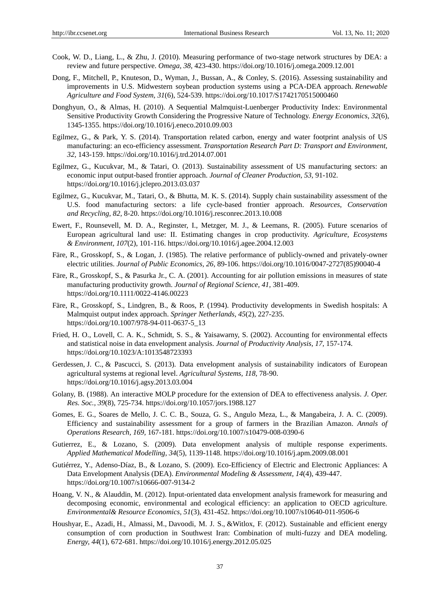- Cook, W. D., Liang, L., & Zhu, J. (2010). Measuring performance of two-stage network structures by DEA: a review and future perspective. *Omega, 38,* 423-430. https://doi.org/10.1016/j.omega.2009.12.001
- Dong, F., Mitchell, P., Knuteson, D., Wyman, J., Bussan, A., & Conley, S. (2016). Assessing sustainability and improvements in U.S. Midwestern soybean production systems using a PCA-DEA approach. *Renewable Agriculture and Food System, 31*(6), 524-539. https://doi.org/10.1017/S1742170515000460
- Donghyun, O., & Almas, H. (2010). A Sequential Malmquist-Luenberger Productivity Index: Environmental Sensitive Productivity Growth Considering the Progressive Nature of Technology. *Energy Economics, 32*(6), 1345-1355. https://doi.org/10.1016/j.eneco.2010.09.003
- Egilmez, G., & Park, Y. S. (2014). Transportation related carbon, energy and water footprint analysis of US manufacturing: an eco-efficiency assessment. *Transportation Research Part D: Transport and Environment, 32,* 143-159. https://doi.org/10.1016/j.trd.2014.07.001
- Egilmez, G., Kucukvar, M., & Tatari, O. (2013). Sustainability assessment of US manufacturing sectors: an economic input output-based frontier approach. *Journal of Cleaner Production, 53,* 91-102. https://doi.org/10.1016/j.jclepro.2013.03.037
- Egilmez, G., Kucukvar, M., Tatari, O., & Bhutta, M. K. S. (2014). Supply chain sustainability assessment of the U.S. food manufacturing sectors: a life cycle-based frontier approach. *Resources, Conservation and Recycling, 82,* 8-20. https://doi.org/10.1016/j.resconrec.2013.10.008
- Ewert, F., Rounsevell, M. D. A., Reginster, I., Metzger, M. J., & Leemans, R. (2005). Future scenarios of European agricultural land use: II. Estimating changes in crop productivity. *Agriculture, Ecosystems & Environment, 107*(2), 101-116. https://doi.org/10.1016/j.agee.2004.12.003
- Färe, R., Grosskopf, S., & Logan, J. (1985). The relative performance of publicly-owned and privately-owner electric utilities. *Journal of Public Economics, 26,* 89-106. https://doi.org/10.1016/0047-2727(85)90040-4
- Färe, R., Grosskopf, S., & Pasurka Jr., C. A. (2001). Accounting for air pollution emissions in measures of state manufacturing productivity growth. *Journal of Regional Science, 41,* 381-409. https://doi.org/10.1111/0022-4146.00223
- Färe, R., Grosskopf, S., Lindgren, B., & Roos, P. (1994). Productivity developments in Swedish hospitals: A Malmquist output index approach. *Springer Netherlands, 45*(2), 227-235. https://doi.org/10.1007/978-94-011-0637-5\_13
- Fried, H. O., Lovell, C. A. K., Schmidt, S. S., & Yaisawarny, S. (2002). Accounting for environmental effects and statistical noise in data envelopment analysis. *Journal of Productivity Analysis, 17,* 157-174. https://doi.org/10.1023/A:1013548723393
- Gerdessen, J. C., & Pascucci, S. (2013). Data envelopment analysis of sustainability indicators of European agricultural systems at regional level. *Agricultural Systems, 118,* 78-90. https://doi.org/10.1016/j.agsy.2013.03.004
- Golany, B. (1988). An interactive MOLP procedure for the extension of DEA to effectiveness analysis. *J. Oper. Res. Soc., 39*(8), 725-734. https://doi.org/10.1057/jors.1988.127
- Gomes, E. G., Soares de Mello, J. C. C. B., Souza, G. S., Angulo Meza, L., & Mangabeira, J. A. C. (2009). Efficiency and sustainability assessment for a group of farmers in the Brazilian Amazon. *Annals of Operations Research, 169,* 167-181. https://doi.org/10.1007/s10479-008-0390-6
- Gutierrez, E., & Lozano, S. (2009). Data envelopment analysis of multiple response experiments. *Applied Mathematical Modelling, 34*(5), 1139-1148. https://doi.org/10.1016/j.apm.2009.08.001
- Gutiérrez, Y., Adenso-Díaz, B., & Lozano, S. (2009). Eco-Efficiency of Electric and Electronic Appliances: A Data Envelopment Analysis (DEA). *Environmental Modeling & Assessment, 14*(4), 439-447. https://doi.org/10.1007/s10666-007-9134-2
- Hoang, V. N., & Alauddin, M. (2012). Input-orientated data envelopment analysis framework for measuring and decomposing economic, environmental and ecological efficiency: an application to OECD agriculture. *Environmental& Resource Economics, 51*(3), 431-452. https://doi.org/10.1007/s10640-011-9506-6
- Houshyar, E., Azadi, H., Almassi, M., Davoodi, M. J. S., &Witlox, F. (2012). Sustainable and efficient energy consumption of corn production in Southwest Iran: Combination of multi-fuzzy and DEA modeling. *Energy, 44*(1), 672-681. https://doi.org/10.1016/j.energy.2012.05.025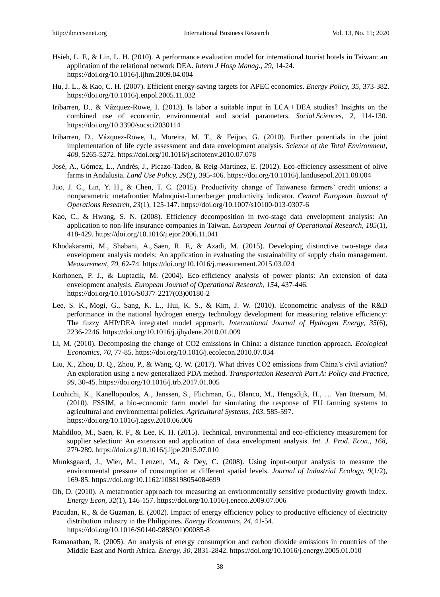- Hsieh, L. F., & Lin, L. H. (2010). A performance evaluation model for international tourist hotels in Taiwan: an application of the relational network DEA. *Intern J Hosp Manag., 29,* 14-24. https://doi.org/10.1016/j.ijhm.2009.04.004
- Hu, J. L., & Kao, C. H. (2007). Efficient energy-saving targets for APEC economies. *Energy Policy, 35,* 373-382. https://doi.org/10.1016/j.enpol.2005.11.032
- Iribarren, D., & Vázquez-Rowe, I. (2013). Is labor a suitable input in LCA + DEA studies? Insights on the combined use of economic, environmental and social parameters. *Social Sciences, 2*, 114-130. https://doi.org/10.3390/socsci2030114
- Iribarren, D., Vázquez-Rowe, I., Moreira, M. T., & Feijoo, G. (2010). Further potentials in the joint implementation of life cycle assessment and data envelopment analysis. *Science of the Total Environment, 408,* 5265-5272. https://doi.org/10.1016/j.scitotenv.2010.07.078
- José, A., Gómez, L., Andrés, J., Picazo-Tadeo, & Reig-Martínez, E. (2012). Eco-efficiency assessment of olive farms in Andalusia. *Land Use Policy, 29*(2), 395-406. https://doi.org/10.1016/j.landusepol.2011.08.004
- Juo, J. C., Lin, Y. H., & Chen, T. C. (2015). Productivity change of Taiwanese farmers' credit unions: a nonparametric metafrontier Malmquist-Lunenberger productivity indicator. *Central European Journal of Operations Research, 23*(1), 125-147. https://doi.org/10.1007/s10100-013-0307-6
- Kao, C., & Hwang, S. N. (2008). Efficiency decomposition in two-stage data envelopment analysis: An application to non-life insurance companies in Taiwan. *European Journal of Operational Research, 185*(1), 418-429. https://doi.org/10.1016/j.ejor.2006.11.041
- Khodakarami, M., Shabani, A., Saen, R. F., & Azadi, M. (2015). Developing distinctive two-stage data envelopment analysis models: An application in evaluating the sustainability of supply chain management. *Measurement, 70,* 62-74. https://doi.org/10.1016/j.measurement.2015.03.024
- Korhonen, P. J., & Luptacik, M. (2004). Eco-efficiency analysis of power plants: An extension of data envelopment analysis. *European Journal of Operational Research, 154,* 437-446. https://doi.org/10.1016/S0377-2217(03)00180-2
- Lee, S. K., Mogi, G., Sang, K. L., Hui, K. S., & Kim, J. W. (2010). Econometric analysis of the R&D performance in the national hydrogen energy technology development for measuring relative efficiency: The fuzzy AHP/DEA integrated model approach*. International Journal of Hydrogen Energy, 35*(6), 2236-2246. https://doi.org/10.1016/j.ijhydene.2010.01.009
- Li, M. (2010). Decomposing the change of CO2 emissions in China: a distance function approach. *Ecological Economics, 70*, 77-85. https://doi.org/10.1016/j.ecolecon.2010.07.034
- Liu, X., Zhou, D. Q., Zhou, P., & Wang, Q. W. (2017). What drives CO2 emissions from China's civil aviation? An exploration using a new generalized PDA method. *Transportation Research Part A: Policy and Practice, 99,* 30-45. https://doi.org/10.1016/j.trb.2017.01.005
- Louhichi, K., Kanellopoulos, A., Janssen, S., Flichman, G., Blanco, M., Hengsdijk, H., … Van Ittersum, M. (2010). FSSIM, a bio-economic farm model for simulating the response of EU farming systems to agricultural and environmental policies. *Agricultural Systems, 103,* 585-597. https://doi.org/10.1016/j.agsy.2010.06.006
- Mahdiloo, M., Saen, R. F., & Lee, K. H. (2015). Technical, environmental and eco-efficiency measurement for supplier selection: An extension and application of data envelopment analysis. *Int. J. Prod. Econ., 168,* 279-289. https://doi.org/10.1016/j.ijpe.2015.07.010
- Munksgaard, J., Wier, M., Lenzen, M., & Dey, C. (2008). Using input-output analysis to measure the environmental pressure of consumption at different spatial levels. *Journal of Industrial Ecology, 9*(1/2), 169-85. https://doi.org/10.1162/1088198054084699
- Oh, D. (2010). A metafrontier approach for measuring an environmentally sensitive productivity growth index. *Energy Econ, 32*(1), 146-157. https://doi.org/10.1016/j.eneco.2009.07.006
- Pacudan, R., & de Guzman, E. (2002). Impact of energy efficiency policy to productive efficiency of electricity distribution industry in the Philippines. *Energy Economics, 24,* 41-54. https://doi.org/10.1016/S0140-9883(01)00085-8
- Ramanathan, R. (2005). An analysis of energy consumption and carbon dioxide emissions in countries of the Middle East and North Africa. *Energy, 30,* 2831-2842. https://doi.org/10.1016/j.energy.2005.01.010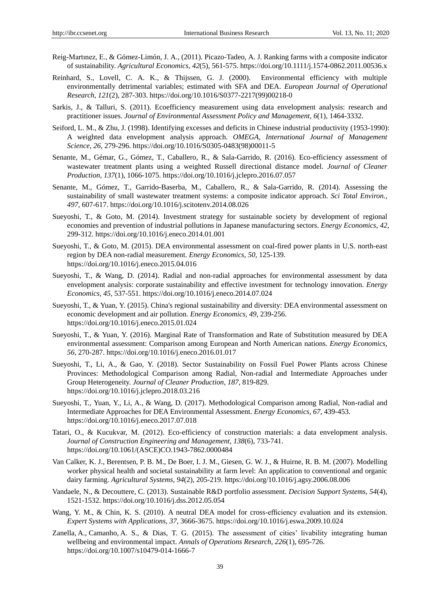- Reig-Martınez, E., & Gómez-Limón, J. A., (2011). Picazo-Tadeo, A. J. Ranking farms with a composite indicator of sustainability. *Agricultural Economics, 42*(5), 561-575. https://doi.org/10.1111/j.1574-0862.2011.00536.x
- Reinhard, S., Lovell, C. A. K., & Thijssen, G. J. (2000). Environmental efficiency with multiple environmentally detrimental variables; estimated with SFA and DEA. *European Journal of Operational Research, 121*(2), 287-303. https://doi.org/10.1016/S0377-2217(99)00218-0
- Sarkis, J., & Talluri, S. (2011). Ecoefficiency measurement using data envelopment analysis: research and practitioner issues. *Journal of Environmental Assessment Policy and Management, 6*(1), 1464-3332.
- Seiford, L. M., & Zhu, J. (1998). Identifying excesses and deficits in Chinese industrial productivity (1953-1990): A weighted data envelopment analysis approach. *OMEGA, International Journal of Management Science, 26*, 279-296. https://doi.org/10.1016/S0305-0483(98)00011-5
- Senante, M., Gémar, G., Gómez, T., Caballero, R., & Sala-Garrido, R. (2016). Eco-efficiency assessment of wastewater treatment plants using a weighted Russell directional distance model. *Journal of Cleaner Production, 137*(1), 1066-1075. https://doi.org/10.1016/j.jclepro.2016.07.057
- Senante, M., Gómez, T., Garrido-Baserba, M., Caballero, R., & Sala-Garrido, R. (2014). Assessing the sustainability of small wastewater treatment systems: a composite indicator approach. *Sci Total Environ., 497,* 607-617. https://doi.org/10.1016/j.scitotenv.2014.08.026
- Sueyoshi, T., & Goto, M. (2014). Investment strategy for sustainable society by development of regional economies and prevention of industrial pollutions in Japanese manufacturing sectors. *Energy Economics, 42,* 299-312. https://doi.org/10.1016/j.eneco.2014.01.001
- Sueyoshi, T., & Goto, M. (2015). DEA environmental assessment on coal-fired power plants in U.S. north-east region by DEA non-radial measurement. *Energy Economics, 50,* 125-139. https://doi.org/10.1016/j.eneco.2015.04.016
- Sueyoshi, T., & Wang, D. (2014). Radial and non-radial approaches for environmental assessment by data envelopment analysis: corporate sustainability and effective investment for technology innovation. *Energy Economics, 45,* 537-551. https://doi.org/10.1016/j.eneco.2014.07.024
- Sueyoshi, T., & Yuan, Y. (2015). China's regional sustainability and diversity: DEA environmental assessment on economic development and air pollution. *Energy Economics, 49,* 239-256. https://doi.org/10.1016/j.eneco.2015.01.024
- Sueyoshi, T., & Yuan, Y. (2016). Marginal Rate of Transformation and Rate of Substitution measured by DEA environmental assessment: Comparison among European and North American nations. *Energy Economics, 56,* 270-287. https://doi.org/10.1016/j.eneco.2016.01.017
- Sueyoshi, T., Li, A., & Gao, Y. (2018). Sector Sustainability on Fossil Fuel Power Plants across Chinese Provinces: Methodological Comparison among Radial, Non-radial and Intermediate Approaches under Group Heterogeneity. *Journal of Cleaner Production, 187,* 819-829. https://doi.org/10.1016/j.jclepro.2018.03.216
- Sueyoshi, T., Yuan, Y., Li, A., & Wang, D. (2017). Methodological Comparison among Radial, Non-radial and Intermediate Approaches for DEA Environmental Assessment. *Energy Economics, 67,* 439-453. https://doi.org/10.1016/j.eneco.2017.07.018
- Tatari, O., & Kucukvar, M. (2012). Eco-efficiency of construction materials: a data envelopment analysis. *Journal of Construction Engineering and Management, 138*(6), 733-741. https://doi.org/10.1061/(ASCE)CO.1943-7862.0000484
- Van Calker, K. J., Berentsen, P. B. M., De Boer, I. J. M., Giesen, G. W. J., & Huirne, R. B. M. (2007). Modelling worker physical health and societal sustainability at farm level: An application to conventional and organic dairy farming. *Agricultural Systems, 94*(2), 205-219. https://doi.org/10.1016/j.agsy.2006.08.006
- Vandaele, N., & Decouttere, C. (2013). Sustainable R&D portfolio assessment. *Decision Support Systems, 54*(4), 1521-1532. https://doi.org/10.1016/j.dss.2012.05.054
- Wang, Y. M., & Chin, K. S. (2010). A neutral DEA model for cross-efficiency evaluation and its extension. *Expert Systems with Applications, 37,* 3666-3675. https://doi.org/10.1016/j.eswa.2009.10.024
- Zanella, A., Camanho, A. S., & Dias, T. G. (2015). The assessment of cities' livability integrating human wellbeing and environmental impact. *Annals of Operations Research, 226*(1), 695-726. https://doi.org/10.1007/s10479-014-1666-7